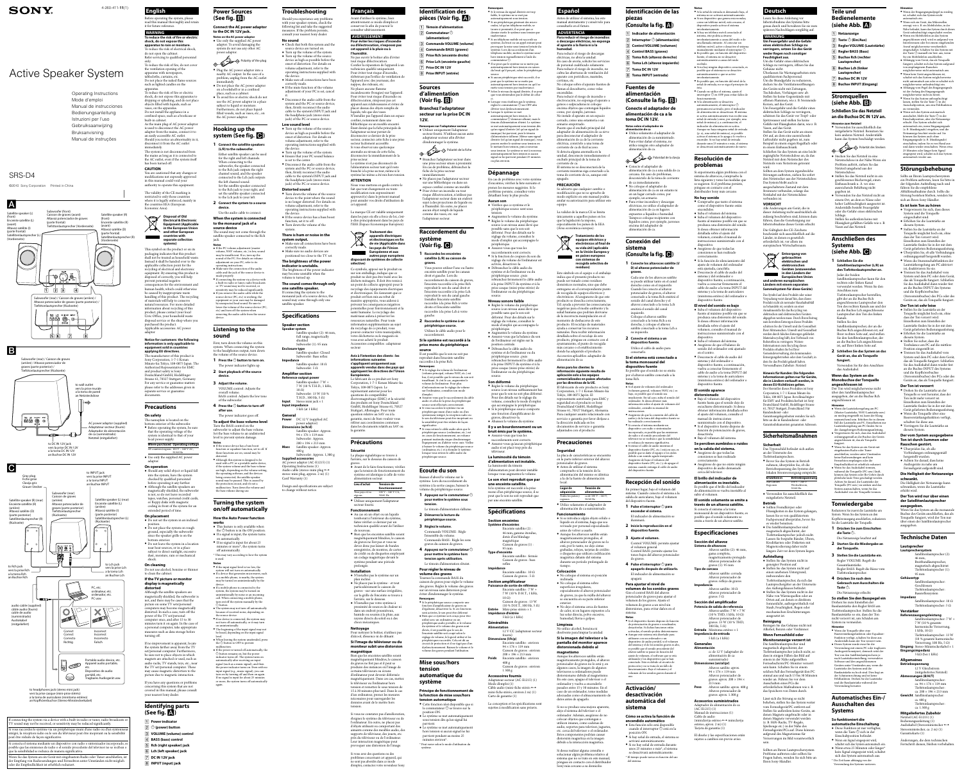# Active Speaker System

### SRS-D4

4-260-411-**11**(1) **English**

Before operating the system, please

read this manual thoroughly and retain it for future reference. **WARNING To reduce the risk of fire or electric shock, do not expose this apparatus to rain or moisture.** To reduce the risk of electrical shock, do not open the cabinet. Refer servicing to qualified personnel only.

To reduce the risk of fire, do not cover the ventilation opening of the apparatus with newspapers, tablecloths, curtains, etc. Do not place the naked flame sources such as lighted candles on the apparatus.

To reduce the risk of fire or electric shock, do not expose this apparatus to dripping or splashing, and do not place objects filled with liquids, such as vases, on the apparatus. Do not install the appliance in a confined space, such as a bookcase or

built-in cabinet. As the main plug of AC power adaptor is used to disconnect the AC power adaptor from the mains, connect it to an easily accessible AC outlet. Should you notice an abnormality in it,

disconnect it from the AC outlet immediately. The system is not disconnected from the mains as long as it is connected to the AC outlet, even if the system itself has been turned off.

**CAUTION** You are cautioned that any changes or modifications not expressly approved in this manual could void your authority to operate this equipment.

The validity of the CE marking is  $restricted to only those countries$ where it is legally enforced, mainly in the countries EEA (European Economic Area).

he manufacturer of this product is Sony Corporation, 1-7-1 Konan Minato-ku Tokyo, 108-0075 Japan. The Authorized Representative for EMC and product safety is Sony Deutschland GmbH, Hedelfinger Strasse 61, 70327 Stuttgart, German For any service or guarantee matters please refer to the addresses given in separate service or guarantee documents.

#### **Disposal of Old Electrical & Electroni Equipment (Applicable in the European Unio and other European**

**countries with separate collection systems)**

This symbol on the product or on its packaging indicates that this produc shall not be treated as household waste Instead it shall be handed over to the applicable collection point for the recycling of electrical and electronic equipment. By ensuring this product is disposed of correctly, you will help prevent potential negative consequences for the environment and human health, which could otherwise be caused by inappropriate waste handling of this product. The recycling of materials will help to conserve natural resources. For more detailed information about recycling of this product, please contact your local Civic Office, your household waste disposal service or the shop where you purchased the product. Applicable accessories: AC power

adaptor

#### **Notice for customers: the following information is only applicable to equipment sold in countries applying EU directives.**

If you have any questions or problem concerning this system that are not covered in this manual, please consult your nearest Sony dealer.

system do not use any other AC power adaptor.  $\iff$ Polarity of the plug

on a bookshelf or in a confined place, such as a cabinet. To avoid fire or electric shock do not use the AC power adaptor in a place subject to liquid or moisture Furthermore, do not place liquid-

### **Precautions**

#### **On safety** The nameplate is located on the

**1** Connect the satellite speaker **(L/R) to the subwoofer.** Either satellite speaker can be used for the right and left channels. When connecting to the subwoofer, the speaker connecte to the Rch jack outputs the right channel sound, and the speaker connected to the Lch jack outputs the left channel sound. Set the satellite speaker connected to the Rch jack to your right, and set the satellite speaker connected

Use the audio cable to connect **When the system is connected to the monaural jack of a source device** The sound may not come through the satellite speaker connected to the Rch

ound of the PC. For details on volum adjustment on your PC, refer to its erating instructions.  $\bullet$  Make sure the connection of the audio cable and the jack of the source device is made properly.

 If connecting the system via a device with a built-in radio or tuner, radio broadcasts or TV sound may not be received, or sensitivity may be reduced significantly. If you remove the audio cable while the source device (PC, etc) is working, the quipment or your ears may be damaged by unexpected loud sound. Be sure to ower the volume of the source device (PC etc) and turn off the system when emoving the audio cable from the source

- bottom exterior of the subwoofer. Before operating the system, be sure that the operating voltage of the system is identical to that of your local power supply. **Where purchased Operating voltage** All countries/regions 100 V – 240 V AC,
- 50/60 Hz Use only the supplied AC power adaptor. **On operation**
- Should any solid object or liquid fall into the system, have the system checked by qualified personne before operating it any further. Although the satellite speakers are
- magnetically shielded, the subwoofer is not, so do not leave recorded tapes, watches, personal credit cards, or floppy disks with magnetic coding in front of the system for an extended period of time.
- **On placement** Do not set the system in an inclined position.
- Do not place the system on rough ground, especially the subwoofer since the speaker grille is on the bottom exterior • Do not leave the system in a location
- near heat sources, or in a place subject to direct sunlight, excessive dust, moisture, rain or mechanical shock.

First, turn down the volume on this system. When connecting the system to the headphones output, turn down the volume of the source device.

**1** Press the  $\bigcirc$  button to turn on. The power indicator lights up.

The power indicator goes of **To adjust the bass volume level** Turn the BASS control on the subwoofer to adjust the bass volume Set the bass volume to an undistorted level to prevent system damage.

#### **On cleaning** Do not use alcohol, benzine or thinner

to clean the cabinet. **If the TV picture or monitor display is magnetically distorted**

Although the satellite speakers are magnetically shielded, the subwoofer is not, and there may be cases that the picture on some TV sets/personal computers may become magnetical distorted. In such a case, turn off the power of the TV set/personal computer once, and after 15 to 30 minutes turn it on again. In the case of a personal computer, take appropriate measures such as data storage before turning off.

If no improvement is apparent, locate the system farther away from the TV set/personal computer. Furthermor be sure not to place objects in which nets are attached or used, such as audio racks, TV stands, toys, etc., near the TV set/personal computer. These may cause magnetic distortion to the

picture due to magnetic interaction.

### **Identifying parts (See fig. )**

- the  $\bigcirc$  button is in the ON position  $\bullet\,$  If a signal is input, the system turns on automatically. • If no signal is input for about 25 minutes or more\*, the system turns
- off automatically. \* This may vary according to how the system is used.
- **Notes** If the input signal level is too low, the n will not turn on automatically
- If a device that generates microwaves, such as a mobile phone, is nearby, the system may be turned on unintentionally by the device. If a mobile phone is connected to the
- system, the system may be turned on unintentionally by noise or an incoming call. When connecting a mobile phor
- turn on/off the system manually by the button.  $\bullet$  The system may not turn off automaticall because of received noise, depending on
- the source device.  $\bullet$  If no device is connected, the system ma
- not turn off automatically, or it may turn on unintentionally. The beginning of the input signal may not
- be heard, depending on the input signa level. When leaving the system unattended, press
- the  $\bigcirc$  button to OFF to prevent malfunction.<br>• If the power is turned off automatically, the
- tton remains on, but the power indicator turns off. The system turns on utomatically after receiving an inpu signal (such as a music signal), and then
- e power indicator turns on. Even with n input signal (e.g., music signal), you can rn on by turning off and then on again If no signal is input for about 25 minute
- or more, the system turns off automaticall again.

- **Power indicator**
- **(power) button**
- **VOLUME (volume) control**
- **BASS (bass) control**
- **Rch (right speaker) jack Lch (left speaker) jack**
- **DC IN 12V jack INPUT (input) jack**
- Check that both this system and the source device are turned on. Turn up the volume of the system. Turn up the volume of the source device as high as possible before the onset of distortion. For details on volume adjustment, refer to the operating instructions supplied with the device.  $\bullet$  Make sure all connections have been
- correctly made.  $\bullet$  If the mute function of the volume adjustment of your PC is set, cancel it.
- Disconnect the audio cable from the system and the PC or source device; then, firmly reconnect the audio cable to the system's INPUT jack and the headphone jack (stereo mini jack) of the PC or source device.
- **Low sound level** Turn up the volume of the source device as high as possible before the onset of distortion. For details on volume adjustment, refer to the operating instructions supplied with
- the device. Turn up the volume of the system. Ensure that your PC sound balance is set to the center.
- Disconnect the audio cable from the system and the PC or source device then, firmly reconnect the audio cable to the system's INPUT jack and the headphone jack (stereo mini jack) of the PC or source device.
- **Distorted sound** Turn down the volume of the source device to the point where the sound is no longer distorted. For details on volume adjustment, refer to the operating instructions supplied with
- the device. If the source device has a bass boost function, set it to off.  $\bullet~$  Turn down the volume of the

### **Power Sources (See fig. )**

**Connect the AC power adaptor to the DC IN 12V jack. Notes on the AC power adaptor** • Use only the supplied AC power adaptor. To avoid damaging the

 Plug the AC power adaptor into a nearby AC output. In the case of a problem, unplug from the AC outlet immediately. Do not place the AC power adaptor

#### filled vessels, such as vases, etc., on the AC power adaptor. **Hooking up the**

# **system (See fig. )**

#### to the Lch jack to your left. **2 Connect the system to a source device.**

jack. **Notes**<br>• If the PC volume adjustment (master volume, WAV volume, etc.) is low, sound may be insufficient. If so, turn up the

device.

#### **Listening to the sound**

ncandescente (bougies) sur l'appareil Pour éviter tout risque d'incendie ou d'électrocution, n'exposez pas cet appareil aux éclaboussures et évitez de placer dessus des objets remplis de liquide, tels que des vases. N'installez pas l'appareil dans un espace confiné, notamment dans une bibliothèque ou un meuble encastre Étant donné que la fiche principale de l'adaptateur secteur permet de déconnecter ce dernier de la prise secteur, connectez cette fiche à une prise secteur facilement accessible. Si vous observez une quelconque anomalie au niveau de cette fiche, déconnectez-la immédiatement de la

- **2 Start playback of the source device.**
- **3 Adjust the volume.** VOLUME control: Adjusts the
- overall volume. BASS control: Adjusts the low tone of the subwoofer.
- **4** Press the  $\bigcirc$  button to turn off **after use.**

**Notes** If the source device has a bass boost function or equalizer function, set to off. If these functions are on, sound may be distorted. Although this system is designed to be used with a PC or a portable audio device, if the system volume and the bass volume are high, depending on the volume setting, he operating software, and the devices being connected, the satellite speaker

ntacter votre municipalit votre déchetterie ou le magasin où vous avez acheté le produit. Accessoires compatibles : adaptateur

sound may be paused. This is caused by the protection circuit, and it's not a alfunction. Turn down the volume an the bass volume during use.

#### **Turning the system on/off automatically How the Auto Power function**

lectromagnétique (EMC) et la sécurit des produits est Sony Deutschland GmbH, Hedelfinger Strasse 61, 70327 Stuttgart, Allemagne. Pour toute

**works** This feature is only available when

e au SAV ou à la garantie, merci de bien vouloir vous éférer aux coordonnées contenue dans les documents relatifs au SAV ou

 Avant de le faire fonctionner, vérifiez que la tension de fonctionnement du stème est identique à celle de votre

ous pays et/ou régions

 Au cas où un objet ou un liquide tomberait à l'intérieur du système, faites vérifier ce dernier par un echnicien qualifié avant de l'utiliser

Ne placez pas le système - et tou particulièrement le caisson de graves - sur une surface irrégulièr car la grille de l'enceinte se trouve à

Bien que les enceintes satellite soien magnétiquement blindées, le caissoi de graves ne l'est pas et il peut se produire des instances où l'image de certains téléviseurs ou écrans d'ordinateur peut devenir déformé magnétiquement. Dans ces cas, mettez le téléviseur ou l'ordinateur hors ension et remettez-le sous tension d 15 à 30 minutes plus tard. Dans le cas d'un ordinateur, prenez les mesures nécessaires pour sauvegarder les données avant de le mettre hors

### **Troubleshooting**

Should you experience any problems with your speaker system, check the following list and take the suggested measures. If the problem persists, consult your nearest Sony dealer.

> Polarité de la fiche Branchez l'adaptateur secteur dans une prise secteur située à proximité En cas de problème, débranchez la fiche de la prise secteur

**No sound**

**Remarques**  $\bullet$  Si le périphérique source comporte un fonction d'amplificateur de graves ou d'égaliseur, désactivez-la. Si ces fonctions sont activées, le son peut être déformé. Bien que ce système soit conçu pour être utilisé avec un ordinateur ou un vériphérique audio portable, si le volum

### **There is hum or noise in the**

system

- **system output.**  $\bullet$  Make sure all connections have been correctly made.
- Make sure no audio devices are positioned too close to the TV set.
- **The brightness of the power indicator is unstable.** The brightness of the power indicator may become unstable when the

volume is turned up. **The sound comes through only one satellite speaker.** If connecting the system to the monaural jack of a source device, the sound may come through only one satellite speaker.

- le commutateur  $\bigcirc$  se trouve sur la position ON. sous tension dès qu'un signal lui
- $\bullet\,$  Le système se met automatiquement parvient.  $\bullet$  Le système se met automatiquemen hors tension si aucun signal ne lui parvient pendant au moins 25

### **Specifications**

**Speaker section Speaker system**

Satellite speaker (2): 46 mm, full range, magnetically

shielded

Subwoofer (1): 95 mm

**Enclosure type**

Satellite speaker: Closed Subwoofer: Bass reflex

**Impedance**

Satellite speaker: 10 Ω Subwoofer: 5 Ω

**Amplifier section Reference output power**

Satellite speaker: 7 W + 7 W (10 % T.H.D., 1 kHz,

10 Ω)

Subwoofer: 13 W (10 % T.H.D., 100 Hz,  $5 \Omega$ **Input** Stereo mini jack × 1

**Input impedance**

**General**

**Power** DC 12 V (supplied AC power adaptor)

**Dimensions (w/h/d)**

Satellite speaker: Approx.  $94 \times 176 \times 119$  mm Subwoofer: Approx.  $200 \times 196 \times 213$  mm **Mass** Satellite speaker: Approx. 400 g

Subwoofer: Approx. 1,300 g

 $5 k\Omega$  (at 1 kHz)

**Supplied accessories** AC power adaptor (AC-E1215) (1) Operating Instructions (1) Audio cable (stereo-mini plug  $\leftrightarrow$ stereo-mini plug, approx. 2 m) (1)

Card Warranty (1)

Design and specifications are subject to change without notice.

If connecting the system via a device with a built-in radio or tuner, radio broadcasts or TV sound may not be received, or sensitivity may be reduced significantly. i vous raccordez le système via un périphérique muni d'une radio ou d'un syntoniseu intégré, la réception radio ou le son du téléviseur peut être inopérant ou la sensibilité peut être réduite de façon significative. Si conecta el sistema mediante un dispositivo con radio o sintonizador incorporado, es posible que las emisiones de radio o el sonido procedente del televisor no se reciban o que la sensibilidad se reduzca de manera significativa. Wenn Sie das System an ein Gerät mit eingebautem Radio oder Tuner anschließen, ist der Empfang von Radiosendungen und Fernsehton unter Umständen nicht möglich oder die Empfindlichkeit ist erheblich reduziert.

Operating Instructions Mode d'emploi Manual de instrucciones Bedienungsanleitung Istruzioni per l'uso Gebruiksaanwijzing Bruksanvisning Manual de instruções

**Français**

Avant d'utiliser le système, lisez attentivement ce mode d'emploi et conservez-le afin de pouvoir le consulter ultérieure **AVERTISSEMENT** Pour éviter les risques d'incendi **ou d'électrocution, n'exposez pas cet appareil à la pluie ou à** 

**l'humidité.**

Ne pas ouvrir le boîtier afin d'éviter tout risque d'électrocution. Confier la réparation de l'appareil à un technicien qualifié uniquemer Pour éviter tout risque d'incendie, n'obstruez pas l'orifice de ventilation de l'appareil avec des journaux, des nappes, des rideaux, etc. Ne placez aucune flamme

prise secteur.

Le système n'est pas déconnecté de l'alimentation secteur tant qu'il reste branché à la prise secteur, même si le système lui-même a été mis hors tension.

**ATTENTION**

Nous vous mettons en garde contre le fait que tout changement ou toute modification non expressément approuvé(e) dans le présent manue peut annuler vos droits d'utilisation de

La marque CE est valable uniquement dans les pays où elle a force de loi, c'està-dire principalement dans les pays de l'EEE (Espace Economique Européen). **Traitement des appareils électriques et électroniques en fin de vie (Applicable dans les pays de l'Union Européenne et aux**  autres pays européen

cet appareil.

**residuos)** Este símbolo en el equipo o el embalaje indica que el presente producto no puede ser tratado como residuos domésticos normales, sino que debe entregarse en el correspondiente punto de recogida de equipos eléctricos y electrónicos. Al asegurarse de que este producto se desecha correctamente, Ud. ayuda a prevenir las consecuencia negativas para el medio ambiente y la salud humana que podrían derivarse de la incorrecta manipulación en el momento de deshacerse de este producto. El reciclaje de materiales ayuda a conservar los recursos naturales. Para recibir información detallada sobre el reciclaje de este producto, póngase en contacto con el ayuntamiento, el punto de recogida más cercano o el establecimiento donde ha adquirido el producto

**disposant de systèmes de collecte** 

**sélective)**

 $\sqrt{2}$ 

Accesorios aplicables: adaptador de alimentación de ca **Aviso para los clientes: la información siguiente resulta de aplicación solo a los equipos cercializados en países afecta por las directivas de la UE.** El fabricante de este producto es Sony Corporation, 1-7-1 Konan Minato-ku Tokyo, 108-0075 Japón. El representante autorizado para EMC y seguridad en el producto es Sony Deutschland GmbH, Hedelfinge

Ce symbole, apposé sur le produit ou sur son emballage, indique que ce produit ne doit pas être traité avec les déchets ménagers. Il doit être remis à un point de collecte approprié pour l recyclage des équipements électriques et électroniques. En s'assurant que ce produit est bien mis au rebut de manière appropriée, vous aiderez à prévenir les conséquences négatives potentielles pour l'environnement et la santé humaine. Le recyclage des matériaux aidera à préserver les ressources naturelles. Pour toute information supplémentaire au suje du recyclage de ce produit, vous

secteur

**Avis à l'intention des clients : les informations suivantes s'appliquent uniquement aux appareils vendus dans des pays qui appliquent les directives de l'Union** 

**Européenne.**

Le fabricant de ce produit est Sony Corporation, 1-7-1 Konan Minato-ku

Tokyo, 108-0075 Japon. Le représentant autorisé pour les questions de compatibilité

la garantie.

**Précautions**

**Sécurité**

La plaque signalétique se trouve à l'arrière, sur le dessous du caisson de

graves.

Si desea realizar alguna consulta o solucionar algún problema relativo al sistema que no se trate en este manual póngase en contacto con el distribuido Sony más cercano a su domicilio.

alimentation secteur. **Lieu d'achat Tension de** 

**fonctionnement**

100 V – 240 V CA, 50/60 Hz

Utilisez uniquement l'adaptateur

secteur fourni. **Fonctionnement**

de nouveau.

 Bien que les enceintes satellite soient magnétiquement blindées, le caisson de graves ne l'est pas et vous ne devez donc pas laisser de bande enregistrées, de montres, de cartes de crédit ou de disquettes employant un codage magnétique devant le système pendant une période

de ca inmediatame No coloque el adaptador de alimentación de ca en un estante ni en un lugar cerrado como, por ejemplo, un armario. Para evitar incendios y descargas eléctricas, no utilice el adaptador de alimentación de ca en lugares expuestos a líquidos o humedad. Tampoco coloque recipientes con líquidos como, por ejemplo, jarrones

prolongée. **Installation**

N'installez pas le système sur un

plan incliné.

l'arrière, sur le dessous. N'installez pas votre système à proximité de sources de chaleur ni dans un endroit poussiéreu: humide ou soumis à la pluie, au rayons directs du soleil ou à des

chocs mécaniques.

**Nettoyage**

Pour nettoyer le boîtier, n'utilisez pas d'alcool, d'essence ni de diluant. **Si l'image du téléviseur ou du moniteur subit une distorsion** 

**magnétique**

tension.

Si vous ne constatez pas d'amélioration, éloignez le système du téléviseur ou de l'ordinateur. En outre, ne placez pas d'objets utilisant ou comportant de aimants comme des meubles audio, de upports de téléviseur, des jouets, etc. près du téléviseur ou de l'ordinateur. Leur interaction magnétique peut provoquer une distorsion de l'image. Si vous avez des questions ou des problèmes concernant cet appareil, qui ne sont pas abordés dans ce mode d'emploi, contactez votre revendeur Sony.

**Cómo se activa la función de encendido automático** Esta función sólo está disponible cuando el interruptor  $\bigcirc$  está en la

#### **Identification des pièces (Voir fig. )**

- **Témoin d'alimentation Z** Commutateur  $\bigcirc$ **(alimentation) Commande VOLUME (volume) Commande BASS (graves)**
- **Prise Rch (enceinte droite) Prise Lch (enceinte gauche) Prise DC IN 12V Prise INPUT (entrée)**

**Notas** Si la señal de entrada es demasiado baja, el sistema no se activará automáticament  $\bullet$  Si un dispositivo que genera microonda como un teléfono móvil, está cercano, el dispositivo puede activar el sistema involuntariamente. Si hay un teléfono móvil conectado al sistema, éste podría activarse involuntariamente a causa del ruido o de una llamada entrante. Al conectar un teléfono móvil, active o desactive el sisten nualmente mediante el interruptor  $\mathbb C$  Es posible que, en función del dispositivo fuente, el sistema no se desactive automáticamente a causa del ruido recibido. Si no hay ningún dispositivo conectado, es posible que el sistema no se desactive comáticamente o que se active involuntariamente. Es posible que, en función del nivel de la señal de entrada, no se oiga el principio de ésta. Cuando no utilice el sistema, ajuste el interruptor  $\bigcirc$  en OFF para evitar fallos de

### **Sources d'alimentation**

### **(Voir fig. ) Branchez l'adaptateur**

**secteur sur la prise DC IN 12V. Remarques sur l'adaptateur secteur**

 Utilisez uniquement l'adaptateur secteur fourni. N'utilisez aucun autre adaptateur secteur afin d'éviter d'endommager le système.

immédiatement. Ne placez pas l'adaptateur secteur sur une bibliothèque ou dans un espace confiné comme un meuble. Pour éviter un incendie ou tout risque d'électrocution, n'utilisez pa l'adaptateur secteur dans un endroi sujet à des projections de liquide ou à l'humidité. En outre, ne placez

Si experimenta algún problema con el sistema de altavoces, compruebe la lista siguiente y tome las medidas que se sugieren. Si el problema persiste, póngase en contacto con el listribuidor Sony más cercano.

aucun objet rempli de liquide comme des vases, etc. sur l'adaptateur secteur.

#### **Raccordement du système (Voir fig. )**

 Suba el volumen del sistema. Suba el volumen del dispositivo fuente al máximo posible sin que se produzca una distorsión del sonido. Si desea obtener información detallada sobre el ajuste del volumen, consulte el manual de nstrucciones suministrado con el

**1 Raccordez les enceintes satellite (L/R) au caisson de graves.** Vous pouvez utiliser l'une ou l'autre enceinte satellite pour les canaux

droit et gauche. Lors du raccordement du caisson de graves, l'enceinte raccordée à la prise Rch reproduit le son du canal droit et l'enceinte raccordée à la prise Lch reproduit le son du canal gauche. Installez l'enceinte satellite raccordée à la prise Rch à votre droite et l'enceinte satellite raccordée à la prise Lch à votre

> Suba el volumen del sistema. Asegúrese de que el balance de sonido del ordenador está ajustado

#### gauche. **2 Raccordez le système à un périphérique source.** Utilisez le câble audio pour le raccordement.

**Si le système est raccordé à la prise mono du périphérique** 

**source** Il est possible que le son ne soit pas reproduit dans l'enceinte satellite raccordée à la prise Rch. **Remarques**

 Si le réglage du volume de l'ordinateur (volume principal, volume WAV, etc.) est bas, il est possible que le niveau du son soit insuffisant. Si c'est le cas, augmentez le volume de l'ordinateur. Pour plus d'informations sur le réglage du volum sur l'ordinateur, consultez son mode

> Altavoz satélite (2): 46 mm, gama completa, magnéticamente protegid Altavoz potenciador de graves  $(1)$ : 95 mm

d'emploi. Assurez-vous que le raccordement du câble audio et celui de la prise du périphérique source sont effectués correctemen Si vous raccordez le système via un périphérique muni d'une radio ou d'un syntoniseur intégré, la réception radio ou le son du téléviseur peut être inopérant ou la sensibilité peut être réduite de façon significative.

> cc de 12 V (adaptador de alimentación de ca suministrado) **Dimensiones (an/al/pr)** Altavoz satélite: apro  $94 \times 176 \times 119$  mm Altavoz potenciador de graves: aprox.  $200 \times 196 \times$

 Si vous retirez le câble audio alors que le périphérique source (ordinateur, etc.) est en cours de fonctionnement, un volume puissant inattendu risque d'endommage l'équipement ou d'altérer votre ouïe. Veillez à baisser le volume du périphérique source (ordinateur, etc.) et à éteindre le systèm lorsque vous retirez le câble audio du

périphérique source.

### **Ecoute du son**

Baissez d'abord le volume sur le système. Lors du raccordement du système à la sortie casque, baissez le volume du périphérique source.

**Um Feuergefahr und die Gefahr eines elektrischen Schlags zu verringern, setzen Sie das Gerät weder Regen noch sonstiger Feuchtigkeit aus.**

Überlassen Sie Wartungsarbeiten stets nualifiziertem Fachpersonal. Um die Brandgefahr zu reduzieren, decken Sie die Ventilationsöffnungen des Geräts nicht mit Zeitungen, Tischdecken, Vorhängen usw. ab. Stellen Sie keine Gegenstände mit offenen Flammen, wie z. B. brennend

**1 Appuyez sur le commutateur pour mettre le système sous tension.** Le témoin d'alimentation s'allume.

**2 Démarrez la lecture du périphérique source. 3 Réglez le volume.**

Commande VOLUME : Règle l'ensemble du volume. Commande BASS : Règle les sons

graves du caisson de graves. **4 Appuyez sur le commutateur pour mettre le système hors tension après utilisation.**

# Le témoin d'alimentation s'étein

**Pour régler le niveau de volume des graves** Tournez la commande BASS du caisson de graves pour régler le volume des graves. Réglez le volume des graves sur un niveau sans distorsion pou éviter d'endommager le système.

**Entsorgung von gebrauchten elektrischen und elektronischen Geräten (anzuwend** 

**in den Ländern der Europäischen Unio** 

du système et le volume des graves sont élevés, il est possible que le son de l'enceinte satellite soit coupé selon le églage de volume, le logiciel utilisé et les périphériques raccordés. Cela est dû au circuit de protection et il ne s'agit pas d'un dysfonctionnement. Baissez le volume et le volume des graves pendant l'utilisation.

### **Mise sous/hors tension automatique du**

# **système**

**Principe de fonctionnement de la fonction de mise sous/hors tension automatique** Cette fonction n'est disponible que si

 $100 V - 240$ Wechselstrom, 50/60 Hz Verwenden Sie ausschließlich das mitgelieferte Netzteil.

minutes environ\*. \* Peut varier selon le mode d'utilisation du système.

Flüssigkeiten in das System gelangen, lassen Sie es von qualifiziertem Fachpersonal überprüfen, bevor Si

**Remarques** Si le niveau du signal d'entrée est trop faible, le système ne se met pas atiquement sous tension Si un périphérique générant des microondes, tel qu'un téléphone mobile, se trouve à proximité, il se peut que ce dernier mette le système sous tension pa inadvertance. Si un téléphone mobile est raccordé au système, du bruit ou un appel entrant peut provoquer la mise sous tension fortuite du système. Lors du raccordement d'un téléphone mobile, mettez le système sou hors tension manuellement à l'aide du  $commutateur (b)$ Il se peut que le système ne se mette pas

automatiquement hors tension en raison du bruit qu'il perçoit, selon le périphérique source. Si aucun périphérique n'est raccordé, il se peut que le système ne se mette pas automatiquement hors tension ou qu'il se mette sous tension par inadvertance Selon le niveau du signal d'entrée, il se peut que vous n'entendiez pas le début de celui-

ci. Lorsque vous n'utilisez pas le système, réglez le commutateur  $\overline{O}$  sur OFF afin d'éviter tout dysfonctionnement Lorsque le système se met

ment hors tension, le commutateur  $\bigcirc$  demeure allumé, mais l témoin d'alimentation s'éteint. Le système se met automatiquement sous tension de qu'un signal d'entrée (tel qu'un signal de musique) lui parvient, puis le témoin d'alimentation s'allume. Même sans signal d'entrée (tel qu'un signal de musique), vou pouvez mettre le système sous tension en le mettant hors tension, puis à nouveau sous tension. Le système se met à nouveau automatiquement hors tension si aucun signal ne lui parvient pendant 25 minutes

ou plus environ.

### **Dépannage**

En cas de problème avec votre système d'enceintes, vérifiez la liste suivante et prenez les mesures suggérées. Si le pblème persiste, consultez votre détaillant Sony le plus proche. **Aucun son** Vérifiez que ce système et le

- périphérique source sont sous tension. Augmentez le volume du système.
- Réglez le volume du périphérique source à un niveau aussi élevé que possible sans que le son soit déformé. Pour des détails sur le réglage du volume, consultez le mode d'emploi qui accompagne le
- périphérique. Assurez-vous que tous les raccordements sont corrects.  $\bullet$  Si la fonction de coupure du son d
- réglage du volume de l'ordinateur es activée, désactivez-la. Débranchez le câble audio du

système et de l'ordinateur ou du périphérique source ; puis branchez fermement le câble audio à la prise INPUT du système et à la prise casque (mini-prise stéréo) de l'ordinateur ou du périphérique

source.

#### **Niveau sonore faible** Réglez le volume du périphérique

source à un niveau aussi élevé que possible sans que le son soit déformé. Pour des détails sur le réglage du volume, consultez le mode d'emploi qui accompagne le périphérique.

 Augmentez le volume du système. Assurez-vous que la balance du son de l'ordinateur est réglée sur la position centrale.

 Débranchez le câble audio du système et de l'ordinateur ou du périphérique source ; puis rebranchez fermement le câble audio à la prise INPUT du système et à la prise casque (mini-prise stéréo) de

#### l'ordinateur ou du périphérique source. **Son déformé**

 Réglez le volume du périphérique source à un niveau suffisamment ba pour que le son ne soit plus déformé. Pour des détails sur le réglage du volume, consultez le mode d'emploi qui accompagne le périphérique. Si le périphérique source comporte une fonction d'amplificateur de graves, désactivez-la. Abaissez le volume du système.

**Il y a un bourdonnement ou un bruit émis par le système.**

 Assurez-vous que tous les raccordements sont corrects. • Assurez-vous qu'aucun périphérique audio n'est placé trop près du

téléviseur. **La luminosité du témoin d'alimentation est instable.** La luminosité du témoin d'alimentation peut devenir instable lorsque vous augmentez le volume. **Le son n'est reproduit que par une enceinte satellite.** Si le système est raccordé à la prise mono d'un périphérique source, il se

peut que le son ne soit reproduit que par une enceinte satellite.

# **Spécifications**

**Section enceintes Système d'enceintes** Enceinte satellite (2) 46 mm, gamme étendue, dotée d'un blindage magnétique Caisson de graves (1) 95 mm **Type d'enceinte**

Enceinte satellite : fermée Caisson de graves : bass reflex **Impédance**

Enceinte satellite : 10  $\Omega$ Caisson de graves : 5  $\Omega$ **Section amplificateur Puissance de sortie de référence** Enceinte satellite : 7 W ·

7 W (10 % D.H.T., 1 kHz, 10 Ω) Caisson de graves : 13 W (10 % D.H.T., 100 Hz, 5  $\Omega$ ) **Entrée** Mini-prise stéréo × 1

**Impédance d'entrée** 5 kΩ (à 1 kHz) **Généralités Alimentation**

- 12 V CC (adaptateur secteur fourni) **Dimensions (l/h/p)** Enceinte satellite : environ  $94 \times 176 \times 119$  mm Caisson de graves : environ  $200 \times 196 \times 213$  mm **Poids** Enceinte satellite : environ
- 400 g Caisson de graves : environ 1 300 g

**Accessoires fournis** Adaptateur secteur (AC-E1215) (1) Mode d'emploi (1) Câble audio (mini-fiche stéréo mini-fiche stéréo, environ 2 m) (1) Carte de garantie (1)

La conception et les spécifications sont sujettes à modification sans préavis.

### **Español**

Antes de utilizar el sistema, lea este

manual atentamente y consérvelo para consultarlo en el futuro. **ADVERTENCIA Para reducir el riesgo de incendios o descargas eléctricas, no exponga el aparato a la lluvia ni a la** 

> Die Helligkeit der Netzanzeige kann schwanken, wenn die Lautstärke erhöht wird. **Der Ton wird nur über einen**

**humedad.** Para reducir el riesgo de descargas eléctricas, no abra la unidad. En caso de avería, solicite los servicios de personal cualificado solamente. Para reducir el riesgo de incendio, no cubra las aberturas de ventilación del aparato con periódicos, manteles, cortinas, etc. No coloque sobre el aparato fuentes de

> Wenn Sie das System an die monaural Buchse des Geräts anschließen, das al Tonquelle fungiert, wird der Ton nur über einen der Satellitenlautsprecher ausgegeben.

> harmonische Verzerrung, 1 kHz,  $10 Ω$ ) Tiefsttonlautsprecher: 13 W (10 % gesamte harmonische Verzerrung, 100 Hz, 5 Ω) **Eingang** Stereo-Ministeckerkabel × 1 **Eingangsimpedanz** 5 kΩ (bei 1 kHz)

llamas al descubierto, como velas encendida Para reducir el riesgo de incendio o electrocución, no exponga el aparato a goteos o salpicaduras ni coloque encima objetos que contengan líquidos como, por ejemplo, jarrones.

> **Betriebsspannung** 12 V Gleichstron (mitgeliefertes Netzteil) **Abmessungen (B/H/T)** Satellitenlautspreche

No instale el aparato en un espacio cerrado, como una estantería o un armario empotrado. Puesto que el enchufe principal del adaptador de alimentación de ca sirve para desconectar el adaptador de

a la toma de auriculares (minitoma estéreo an Kopfhörerbuchse (Stereo-Ministeckerkabel)

alimentación de ca de la corriente eléctrica, conéctelo a una toma de corriente de ca de fácil acceso. Si detecta alguna anomalía en la unidad, desconecte inmediatamente el enchufe principal de la toma de corriente de ca.

El sistema no se desconectará de la corriente mientras siga conectado a la toma de corriente de ca, aunque esté apagado. **PRECAUCIÓN** Se advierte que cualquier cambio o modificación que no se apruebe de modo explícito en este manual podría anular su autorización para utilizar este

equipo. La validez de la marca CE se limita únicamente a aquellos países en los que la legislación la impone, especialmente los países de la EEA (Área económica europea).



**en países europeos con sistemas de recogida selectiva de** 

Strasse 61, 70327 Stuttgart, Alemania. Para cualquier asunto relacionado con servicio o garantía por favor diríjase a la dirección indicada en los documentos de servicio o garantí adjuntados con el producto.

### **Precauciones**

**Seguridad** La placa de características se encuentra en la parte inferior exterior del altavoz potenciador de graves. Antes de utilizar el sistem compruebe si la tensión de la

alimentación del mismo es idéntica a la de la fuente de alimentación local. **Lugar de adquisición alimentación Tensión de**  Todos los países y ca de 100 V – 240 V, regiones 50/60 Hz

 Utilice solamente el adaptador de alimentación de ca suminis **Funcionamiento**

 Si se introduce algún objeto sólido o líquido en el sistema, haga que sea revisado por personal especializado antes de volver a usarlo. Aunque los altavoces satélite están magnéticamente protegidos, el

altavoz potenciador de graves no lo está; por lo tanto, no deje cintas grabadas, relojes, tarjetas de crédit o disquetes que utilicen codificación magnética delante del sistema durante un período prolongado de

tiempo. **Colocación** No coloque el sistema en posición

- inclinada. No coloque el sistema sobre superficies irregulares, especialmente el altavoz potenciado de graves, ya que la rejilla del altavoz
- se encuentra en su parte inferior exterior.  $\bullet$  No deje el sistema cerca de fuente de calor, ni en lugares expuestos a la
- luz solar directa, polvo excesivo, humedad, lluvia o golpes. **Limpieza** No utilice alcohol, bencina ni
- disolvente para limpiar la unidad. **Si la imagen del televisor o la pantalla del monitor aparece distorsionada debido al magnetismo**
- Aunque los altavoces satélite están magnéticamente protegidos, el altavoz potenciador de graves no lo está y, en algunos casos, la imagen de algunos televisores u ordenadores puede distorsionarse debido al magnetisn
- En este caso, apague el televisor o el ordenador y vuelva a encenderlo pasados entre 15 y 30 minutos. En el caso de un ordenador, tome medidaadecuadas como el almacenamiento de datos antes de apagarlo.

Si no se produce una mejora aparente, aleje el sistema del televisor o el ordenador. Además, asegúrese de no colocar objetos que contengan o utilicen imanes, como cadenas de audio, soportes para televisor, juguetes, etc. cerca del televisor o el ordenador. Estos componentes podrían causar distorsión magnética en la imagen debido a la interacción magnética.

**Identificación de las piezas (Consulte la fig.)**

 **Indicador de alimentación Interruptor**  $\bigcirc$  (alimentación) **Control VOLUME (volumen) Control BASS (graves) Toma Rch (altavoz derecho) Toma Lch (altavoz izquierdo) Toma DC IN 12V**

**Toma INPUT (entrada)**

### **Fuentes de alimentación**

#### **(Consulte la fig. ) Conecte el adaptador de alimentación de ca a la toma DC IN 12V.**

**Notas sobre el adaptador de alimentación de ca** Utilice solamente el adaptador de alimentación de ca suministrad. Para evitar dañar el sistema, no utilice ningún otro adaptador de

alimentación de ca. Polaridad de la clavija Conecte el adaptador de alimentación de ca a una salida de ca

cercana. En caso de problemas, desconéctelo de la toma de corriente

encima del adaptador de alimentación de ca.

**Conexión del** 

**sistema** 

**(Consulte la fig.)**

**1 Conecte los altavoces satélite (I/ D) al altavoz potenciador de** 

**graves.**

Cada uno de los altavoces satélite se puede utilizar tanto en el canal derecho como en el izquierdo. Cuando los conecte al altavoz potenciador de graves, el altavoz conectado a la toma Rch emitirá el sonido del canal derecho y el altavoz conectado a la toma Lch emitirá el sonido del canal

izquierdo.

Coloque el altavoz satélite conectado a la toma Rch a su derecha, y coloque el altavoz satélite conectado a la toma Lch a

su izquierda. **2 Conecte el sistema a un dispositivo fuente.** Utilice el cable de audio para

conectarlo.

**Si el sistema está conectado a la toma monoaural del dispositivo fuente** Es posible que el sonido no se emit por el altavoz satélite conectado a la

toma Rch. **Notas**

 Si el ajuste de volumen del ordenador (volumen general, volumen WAV, etc.) es bajo, es posible que el sonido sea insuficiente. En tal caso, suba el sonido del ordenador. Si desea obtener más información sobre el ajuste de volumen del ordenador, consulte su manual de

instrucciones.

ha realizado correctamente  $\bullet\,$  Si conecta el sistema mediante un dispositivo con radio o sintonizador ncorporado, es posible que las emisione de radio o el sonido procedente del televisor no se reciban o que la sensibilidad se reduzca de manera significativa. Si extrae el cable de audio mientras el dispositivo fuente (PC, etc.) está en uso, es posible que se dañe el equipo o los oídos debido a un sonido agudo inesperado. Asegúrese de bajar el volumen del dispositivo fuente (PC, etc.) y de apagar el sistema cuando extraiga el cable de audio

Asegúrese de que la conexión del cable de audio y de la toma del dispositivo fuente se

del dispositivo fuente.

**Recepción del sonido** En primer lugar, baje el volumen del sistema. Cuando conecte el sistema a la salida de auriculares, baje el volumen

del dispositivo fuente.

**1 Pulse el interruptor para encender el sistema.** El indicador de alimentación se

iluminará.

**2 Inicie la reproducción en el dispositivo fuente. 3 Ajuste el volumen.**

Control VOLUME: permite ajustar

el volumen general.

Control BASS: permite ajustar los tonos bajos del altavoz potenciador

de graves.

**4 Pulse el interruptor para apagarlo después de utilizarlo.** El indicador de alimentación se

apagará.

**Para ajustar el nivel de volumen de los sonidos graves** Gire el control BASS del altavoz potenciador de graves para ajustar el volumen de los graves. Ajuste el volumen de graves a un nivel sin distorsiones, para evitar daños en el

sistema.

**Notas** Si el dispositivo fuente dispone de función de potenciación de graves o ecualizador, desactívelas. Si dichas funciones están activadas, el sonido podría distorsionars Aunque este sistema está diseñado para utilizarse con un ordenador o un dispositivo de audio portátil, si el volume del sistema y el de los sonidos graves es alto, es posible que el sonido procedente del altavoz satélite se pause en función del ajuste de volumen, el software que se está utilizando y los dispositivos que se han conectado. Esto es debido al circuito d protección y no se trata de un fallo de onamiento. Baje el volumen y el volumen de los sonidos graves durante el

uso.

**Activación/ desactivación automática del** 

**sistema**

posición ON.

 Si hay señal de entrada, el sistema se activará automáticamente Si no hay señal de entrada durante unos 25 minutos o más\*, el sistema se desactivará automáticamente. \* El tiempo puede variar en función del uso

del sistema.

funcionamiento. Si la alimentación se desactiva automáticamente, el interruptor permanecerá activado, pero el indicador de alimentación se desactivará. El sistema se activa automáticamente tras recibir un señal de entrada (como, por ejemplo, una señal de música) y, a continuación, el indicador de alimentación se activa. Aunque no haya ninguna señal de entrada (p. ej., una señal de música), es posible .<br>ctivar el sistema si lo apaga y lo vuelve a encender. Si no hay señal de entrada durante unos 25 minutos o más, el sistema se desactivará automáticamente de nuevo.

**Resolución de problemas**

**No hay sonido**

 Compruebe que tanto el sistema como el dispositivo fuente están

encendidos.

dispositivo. Asegúrese de que todas las conexiones se han realizado

correctamente.

 Si la función de silenciamiento del ajuste de volumen del ordenador está ajustada, cancélela. Desconecte el cable de audio del sistema y del ordenador o dispositivo fuente; a continuación, vuelva a conectar firmemente el cable de audio a la toma INPUT del sistema y a la toma de auriculares (minitoma estéreo) del ordenador o

dispositivo fuente. **El nivel del sonido es bajo** Suba el volumen del dispositivo fuente al máximo posible sin que se produzca una distorsión del sonido. Si desea obtener información detallada sobre el ajuste del volumen, consulte el manual de instrucciones suministrado con el

dispositivo.

en el centro.

 Desconecte el cable de audio del sistema y del ordenador o dispositivo fuente; a continuación, vuelva a conectar firmemente el cable de audio a la toma INPUT del sistema y a la toma de auriculares (minitoma estéreo) del ordenador o

dispositivo fuente. **El sonido aparece distorsionado**  $\bullet$  Baje el volumen del disposi fuente hasta que el sonido deje de escucharse distorsionado. Si desea obtener información detallada sobre el ajuste del volumen, cor manual de instruccione ministrado con el dispositiv Si el dispositivo fuente dispone de función de potenciación de graves,

desactívela.

 Baje el volumen del sistema. **Se perciben zumbidos o ruidos en la salida del sistema.** Asegúrese de que todas las conexiones se han realizado correctamente.

 Asegúrese de que no existe ningún dispositivo de audio demasiado

cerca del televisor. **El brillo del indicador de alimentación es inestable.** Es posible que el brillo del indicador de alimentación se vuelva inestable al

subir el volumen.

**El sonido solamente se emite a través de un altavoz satélite.** Si conecta el sistema a la toma monoaural de un dispositivo fuente, es posible que el sonido solamente se emita a través de un altavoz satélite.

**Especificaciones**

**Sección del altavoz Sistema de altavoces**

**Tipo de carcasa**

Altavoz satélite: cerrada Altavoz potenciador de graves: reflejo de graves

**Impedancia**

Altavoz satélite: 10 Ω Altavoz potenciador de graves: 5  $\Omega$ **Sección del amplificador Potencia de salida de referencia** Altavoz satélite: 7 W + 7 W (10 % THD, 1 kHz, 10  $\Omega$ ) Altavoz potenciador de graves: 13 W (10 % THD,  $100$  Hz, 5  $\Omega$ ) **Entrada** Minitoma estéreo × 1 **Impedancia de entrada** 5 kΩ (a 1 kHz)

**Generales Alimentación**

213 mm **Peso** Altavoz satélite: aprox. 400 g Altavoz potenciador de graves: aprox. 1.300 g **Accesorios suministrados** Adaptador de alimentación de ca

(AC-E1215) (1)

Manual de instrucciones (1)

Cable de audio

estéreo, aprox. 2 m) (1) Tarjeta de garantía (1)

miniclavija estéreo ↔ miniclavija

El diseño y las especificaciones están sujetos a cambios sin previo aviso.

©2010 Sony Corporation Printed in China

**Deutsch**

Lesen Sie diese Anleitung vor Inbetriebnahme des Systems bitte genau durch und bewahren Sie sie zum späteren Nachschlagen sorgfältig auf.

**WARNUNG**

Um die Gefahr eines elektrischen Schlags zu verringern, öffnen Sie das

Gehäuse nicht.

Kerzen, auf das Gerät.

Um Feuergefahr und die Gefahr eines elektrischen Schlags zu verringern, schützen Sie das Gerät vor Tropf- oder Spritzwasser und stellen Sie keine Gefäße mit Flüssigkeiten darin, wie z. B.

Vasen, auf das Gerät.

Stellen Sie das Gerät nicht an einem Ort auf, an dem eine ausreichende Luftzufuhr nicht gegeben ist, zum Beispiel in einem engen Regalfach oder

in einem Einbauschrank.

Schließen Sie das System an eine leicht zugängliche Netzsteckdose an, da das Netzteil mit dem Netzstecker des Netzteils vom Netzstrom getrennt

wird.

Sollten an dem System irgendwelche Störungen auftreten, ziehen Sie sofort den Netzstecker aus der Netzsteckdose.

Das System bleibt auch in ausgeschaltetem Zustand mit dem mnetz verbunden, solange das Netzkabel mit der Netzsteckdose

verbunden ist. **VORSICHT**

 $\sqrt{7}$ 

 $\sqrt{2}$ 

Alle Änderungen am Gerät, die in dieser Anleitung nicht ausdrücklich als zulässig beschrieben sind, können dazu führen, dass die Genehmigung zur Inbetriebnahme dieses Geräts erlischt. Die Gültigkeit des CE-Zeichen beschränkt sich ausschließlich auf die Länder, in denen es gesetzlich erforderlich ist, vor allem im europäischen Wirtschaftsraum.

**und anderen europäischen Ländern mit einem separaten Sammelsystem für diese Geräte)** Das Symbol auf dem Produkt oder seine Verpackung weist darauf hin, dass dieses Produkt nicht als normaler Haushaltsabfall zu behandeln ist, sondern an einer Annahmestelle für das Recycling von elektrischen und elektronischen Geräte abgegeben werden muss. Durch Ihren Beitrag zum korrekten Entsorgen dieses Produkts schützen Sie die Umwelt und die Gesundheit Ihrer Mitmenschen. Umwelt und Gesundhei werden durch falsches Entsorgen gefährdet. Materialrecycling hilft, den Verbrauch von Rohstoffen zu verringern. Weitere Informationen zum Recycling diese Produkts erhalten Sie bei Ihrer Gemeindeverwaltung, den kommuna Entsorgungsbetrieben oder dem Geschäft, in dem Sie das Produkt gekauft haben Verwendbares Zubehör: Netzteil **Hinweis für Kunden: Die folgenden Informationen gelten nur für Geräte, die in Ländern verkauft werden, in denen EU-Richtlinien gelten.** Der Hersteller dieses Produktes ist Son Corporation, 1-7-1 Konan Minato-ku Tokio, 108-0075 Japan. Bevollmächtigter für EMV und Produktsicherheit ist Sony Deutschland GmbH, Hedelfinger Strasse 61, 70327 Stuttgart, Deutschland. Für

Kundendienst- oder

Garantieangelegenheiten wenden Sie sich bitte an die in Kundendienst- oder Garantiedokumenten genannten Adressen.

**Sicherheitsmaßnahmen**

**Sicherheit**

Das Typenschild befindet sich außen

an der Unterseite des Tiefsttonlautsprecher. Bevor Sie das System in Betrieb nehmen, überprüfen Sie, ob die Betriebsspannung des Systems der lokalen Stromversorgung entspricht. **Erworben in Betriebsspannung**

Alle Länder/ Regionen

**Betrieb**

Sollten Fremdkörper oder

es wieder benutzen. Die Satellitenlautsprecher sind magnetisch abgeschirmt, der Tiefsttonlautsprecher jedoch nicht. Lassen Sie bespielte Bänder, Uhren Kreditkarten oder Disketten mit Magnetcodierung daher nicht längere Zeit vor dem System liegen.

**Aufstellung**

 Stellen Sie das System nicht in geneigter Position auf. Stellen Sie das System nicht auf einen unebenen Untergrund, insbesondere den

Tiefsttonlautsprecher, da sich das Lautsprechergitter an der Unterseite des Außengehäuses befindet. Stellen Sie das System nicht in der Nähe von Wärmequellen oder an Orten auf, an denen es direktem Sonnenlicht, außergewöhnlich viel Staub, Feuchtigkeit, Regen oder mechanischen Erschütterungen

ausgesetzt ist. **Reinigung**

Die Satellitenl

Reinigen Sie das Gehäuse nicht mit Alkohol, Benzin oder Verdünner. **Wenn Fernsehbild oder Monitoranzeige verzerrt ist**

magnetisch abgeschirmt, der Tiefsttonlautsprecher jedoch nicht, so dass in einigen Fällen das Bild auf einem in der Nähe aufgestellten Fernsehschirm/PC-Monitor verzerr sein kann. Schalten Sie in einem solchen Fall das Fernsehgerät/den PC einmal aus und nach 15 bis 30 Minuten wieder an. Führen Sie vor dem Ausschalten eines PCs die erforderlichen Maßnahmen wie z. B. das Speichern von Daten durch. Lässt sich die Störung so nicht beheben, stellen Sie das System weiter vom Fernsehgerät/PC entfernt auf. Stellen Sie außerdem keine Geräte, an denen Magnete angebracht oder in denen Magnete verwendet werden (z. B. HiFi-Racks, TV-Regale, Spielzeuge etc.) in der Nähe des Fernsehgeräts/PCs auf. Diese können aufgrund des Magnetismus für

rungen im Bild verantwortlich

sein.

Sollten an Ihrem Lautsprechersystem Probleme auftreten oder sollten Sie Fragen haben, wenden Sie sich bitte an

Ihren Sony-Händler.

#### **Teile und Bedienelemente (siehe Abb. )**

- **Netzanzeige**
- **Taste (Ein/Aus) Regler VOLUME (Lautstärke)**
- **Regler BASS (Bass)**
- **Buchse Rch (rechter Lautsprecher)**
- **Buchse Lch (linker**
- **Lautsprecher) Buchse DC IN 12V**
- **Buchse INPUT (Eingang)**

### **Stromquellen (siehe Abb. )**

### **Schließen Sie das Netzteil an die Buchse DC IN 12V an.**

- **Hinweise zum Netzteil** Verwenden Sie ausschließlich das mitgelieferte Netzteil. Benutzen Sie kein anderes Netzteil. Andernfalls kann das System beschädigt werden. Polarität des Steckers
- 
- Stecken Sie das Netzteil in eine Netzsteckdose in der Nähe.Wenn ein Problem auftritt, ziehen Sie das Netzteil umgehend aus der Netzsteckdose.
- Stellen Sie das Netzteil nicht in ein geschlossenes Bücherregal, einen Einbauschrank u. Ä. wo eine ausreichende Belüftung nicht gegeben ist.
- Verwenden Sie das Netzteil nicht an einem Ort, an dem es Nässe oder hoher Luftfeuchtigkeit ausgesetzt ist. Andernfalls besteht Feuergefahr oder die Gefahr eines elektrischen Schlags. Stellen Sie außerdem keine mit
- Flüssigkeit gefüllten Gefäße wie z. B. Vasen auf das Netzteil.
- **Anschließen des Systems (siehe Abb. )**
- **1 Schließen Sie die**
- **Satellitenlautsprecher (L/R) an den Tiefsttonlautsprecher an.** Jeder der beiden
- Satellitenlautsprecher kann für den rechten oder linken Kanal verwendet werden. Wenn Sie den Anschluss zum Tiefsttonlautsprecher herstellen,
- gibt der an die Buchse Rch angeschlossene Lautsprecher den Ton des rechten Kanals aus und der an die Buchse Lch angeschlossene Lautsprecher den Ton des linken Kanals. Stellen Sie den
- Satellitenlautsprecher, der an die Buchse Rch angeschlossen ist, auf Ihrer rechten Seite auf, und stellen Sie den Satellitenlautsprecher, der an die Buchse Lch angeschlossen ist, auf Ihrer linken Seite auf.
- **2 Schließen Sie das System an das Gerät an, das als Tonquelle fungiert.**
- Verwenden Sie für den Anschlus das Audiokabel.

#### **Wenn das System an die Monobuchse der Tonquelle**

**angeschlossen ist** Der Ton wird möglicherweise nicht über den Satelliten ausgegeben, der an die Buchse Rch angeschlossen ist.

- 
- **Hinweise** Wenn die Lautstärkeregelung am PC (Master-Lautstärke, WAV-Lautstärke usw.) zu niedrig eingestellt ist, kann eichend sein. Erhöhen Sie in diesem Fall die Lautstärke am PC. Einzelheiten zu Lautstärkeregelung am PC finden Sie in der dazugehörigen Bedie Vergewissern Sie sich, dass das Audiokabel
- ordnungsgemäß an die Buchse des Geräts angeschlossen ist, das als Tonquelle fungiert. Wenn Sie das System an ein Gerät mit eingebautem Radio oder Tuner anschließen, werden unter Umständen
- keine Radiosendungen und kein Fernsehton empfangen oder die Empfindlichkeit ist erheblich reduziert. Wenn Sie das Audiokabel trennen, während die Tonquelle (PC usw.) läuf können das System oder Ihr Gehör durch plötzliche laute Töne geschädigt werden. Achten Sie darauf, die Lautstärke der Tonquelle (PC usw.) zu senken und das System auszuschalten, wenn Sie das

Audiokabel von der Tonquelle trennen.

### **Tonwiedergabe**

Reduzieren Sie zuerst die Lautstärke am System. Wenn Sie das System an den

- Kopfhörerausgang anschließen, reduzieren Sie die Lautstärke der Tonquelle. **1 Drücken Sie zum Einschalten**
- **die Taste .** Die Netzanzeige leuchtet auf.
- **2** Starten Sie die Wiedergabe a **der Tonquelle. 3 Stellen Sie die Lautstärke ein.**
- Regler VOLUME: Regelt die ntlautstärk Regler BASS: Regelt die Bässe vom
- Tiefsttonlautsprecher. **4 Drücken Sie nach dem Gebrauch zum Ausschalten die**
- **Taste**  $\circlearrowleft$ . Die Netzanzeige erlisch
- **So stellen Sie den Basspegel ein** Drehen Sie zum Einstellen der Basslautstärke den Regler BASS am Tiefsttonlautsprecher. Stellen Sie die Basslautstärke so ein, dass der Ton nicht verzerrt ist, um Schäden am System zu vermeiden.
- **Hinweis**  Wenn die Tonquelle über eine Bassverstärkungsfunktion oder Equalize Funktion verfügt, schalten Sie diese aus. Andernfalls kann der Ton verzerrt sein. Dieses System wurde zwar für die Verwendung mit einem PC oder tragbare diogerät konzipiert, dennoch setzt der Ton von den Satellitenlautsprechern je nach Lautstärkeeinstellung, verwendete Software und den angeschlossenen eräten unter Umständen aus, wenn die Lautstärke des Systems und die autstärke zu hoch sind. Dies liegt an der Schutzeinrichtung und ist keine Fehlfunktion. Drehen Sie die Lautstärk und die Basslautstärke während der

Verwendung herunter.

### **Automatisches Ein-/ Ausschalten des Systems**

# **So funktioniert die**

- **automatische Einschaltung** • Diese Funktion ist nur verfügbar wenn die Taste  $\cup$  sich in der Einschaltposition befindet.
- Wenn ein Signal eingespeist wird,
- schaltet sich das System automatisch ei Wenn etwa 25 Minuten oder länger\* kein Signal eingespeist wird, schaltet sich das System automatisch aus.
- \* Die Zeit kann abhängig von der Verwendung des Systems variieren.
- 
- **Hinweise** Wenn der Eingangssignalpegel zu niedrig ist, schaltet sich das System nicht automatisch ein. Wenn sich ein Gerät, das Mikrowellen
- erzeugt, wie z. B. ein Mobiltelefon, in der Nähe befindet, kann das System durch dieses Gerät unbeabsichtigt eingeschaltet werden. Wenn ein Mobiltelefon an das System angeschlossen wird, wird es aufgrund von
- terferenzen oder bei einem eingehende Anruf möglicherweise versehentlich eingeschaltet. Schalten Sie das System mit der Taste (<sup>I</sup>) manuell ein bzw. aus, wenn Sie ein Mobiltelefon anschließen. Abhängig vom Gerät, das als Tonquelle fungiert, schaltet sich das System aufgrund
- von empfangenem Rauschen möglicherweise nicht automatisch aus. Wenn kein Gerät angeschlossen ist, schaltet sich das System möglicherweise nicht automatisch aus oder es schaltet sich
- möglicherweise unbeabsichtigt ein. Abhängig vom Pegel des Eingangssignals ist der Anfang des Eingangssignals
- möglicherweise nicht zu hören. Wenn Sie das System unbeauf lassen, stellen Sie die Taste (<sup>1</sup>) in die Ausschaltposition, um eine Fehlfunkt
- zu vermeiden. Wenn sich das System automatisch ausschaltet, bleibt die Taste (<sup>I</sup>) in der Einschaltposition, aber die Netzanzeige erlischt. Das System schaltet sich automatisch ein, wenn Eingangssigna (z. B. Musiksignale) eingehen, und die Netzanzeige leuchtet wieder auf. Sie können das System auch ohne Eingangssignale (z. B. Musiksignale) einschalten, indem Sie es von Hand ausund dann wieder einschalten. Wenn etw 25 Minuten oder länger kein Signal eingespeist wird, schaltet sich das System automatisch wieder aus.

### **Störungsbehebung**

Sollte an Ihrem Lautsprechersystem ein Problem auftreten. lesen Sie bitte i der folgenden Aufstellung nach und führen Sie die empfohlen Abhilfemaßnahme durch. Sollte die Störung bestehen bleiben, wenden Sie

- sich an Ihren Sony-Händler. **Es ist kein Ton zu hören** Vergewissern Sie sich, dass dieses
- System und die Tonquelle eingeschaltet sind. Erhöhen Sie die Lautstärke an
- diesem System. Stellen Sie die Lautstärke an der Tonquelle möglichst hoch ein, ohne dass der Ton verzerrt wird. Einzelheiten zum Einstellen der
- Lautstärke finden Sie in der mit dem Gerät gelieferten Bedienungsanleitung. Überprüfen Sie, ob alle Verbindungen ordnungsgemäß hergestellt wurden.
- Wenn die Stummschaltfunktion der Lautstärkeregelung am PC aktiviert ist, deaktivieren Sie sie.
- Trennen Sie das Audiokabel vom System und dem PC oder dem Gerä das als Tonquelle fungiert. Schließen Sie das Audiokabel dann wieder fest an die Buchse INPUT des Systems und die Kopfhörerbuchse (Stereominibuchse) des PCs oder de Geräts an, das als Tonquelle fungiert.
- **Der Ton ist sehr leise** Stellen Sie die Lautstärke an der Tonquelle möglichst hoch ein, ohne dass der Ton verzerrt wird. Einzelheiten zum Einstellen der Lautstärke finden Sie in der mit dem Gerät gelieferten Bedienungsanleitung.
- Erhöhen Sie die Lautstärke an diesem System. Stellen Sie sicher, dass die
- Tonbalance am PC auf die mittlere Position eingestellt ist. Trennen Sie das Audiokabel vom System und dem PC oder dem Gerä das als Tonquelle fungiert. Schließen Sie das Audiokabel dann wieder fest
- an die Buchse INPUT des Systems und die Kopfhörerbuchse ominibuchse) des PCs oder de Geräts an, das als Tonquelle fungiert. **Der Ton ist verzerrt**
- $\bullet$  Drehen Sie die Lautstärke an de Tonquelle so weit herunter, dass der Ton nicht mehr verzerrt ist. Einzelheiten zum Einstellen der Lautstärke finden Sie in der mit dem
- Gerät gelieferten Bedienungsanleitung. Wenn die Tonquelle über eine Bassverstärkungsfunktion verfügt, schalten Sie diese aus.
- Verringern Sie die Lautstärke an diesem System.

#### **Der vom System ausgegebene Ton ist durch Summen oder Rauschen gestört.**

- Überprüfen Sie, ob alle Verbindungen ordnungsgemäß hergestellt wurden.
- Achten Sie darauf, dass keine Audiogeräte zu nahe am
- Fernsehgerät aufgestellt sind. **Die Helligkeit der Netzanzeige schwankt.**

#### **der Satellitenlautsprecher ausgegeben.**

**Technische Daten Lautsprecher**

**Lautsprechersystem** Satellitenlautsprecher (2) 46 mm, Breitbandlautspreche magnetisch abgeschirmt Tiefsttonlautsprecher (1): 95 mm **Gehäusetyp** Satellitenlautsprecher: Geschlossen Tiefsttonlautspreche: Bassreflexsystem **Impedanz** Satellitenlautsprecher: 10 Ω Tiefsttonlautsprecher: 5 Ω **Verstärker Referenzausgangsleistung**  $s$ recher: 7 W + 7 W (10 % gesamte

### **Allgemeines**

- ca. 94 × 176 × 119 mm Tiefsttonlautsprecher: ca.  $200 \times 196 \times 213$  mm **Gewicht** Satellitenlautsprecher:
- ca. 400 g Tiefsttonlautspreche ca. 1.300 g
- **Mitgeliefertes Zubehör** Netzteil (AC-E1215) (1) Bedienungsanleitung (1) Audiokabel (Stereoministecker Stereoministecker, ca. 2 m) (1)

Garantiekarte (1) Änderungen, die dem technischen

Fortschritt dienen, bleiben vorbehalten.





### **B**

an Buchse DC IN 12V